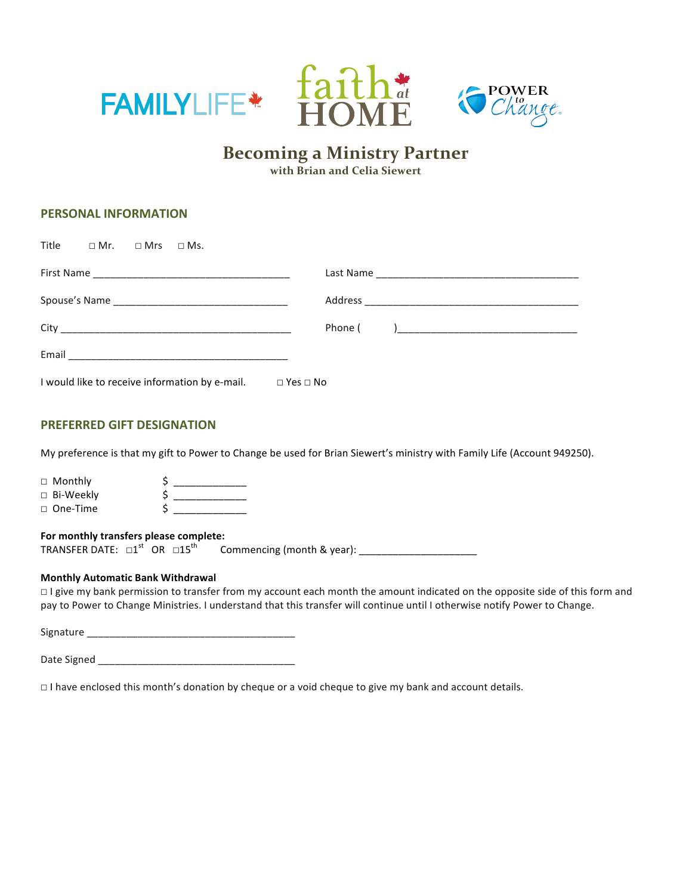



# **Becoming a Ministry Partner**

**with Brian and Celia Siewert**

# **PERSONAL INFORMATION**

| Title □ Mr. □ Mrs □ Ms. |                                                                           |  |  |  |  |
|-------------------------|---------------------------------------------------------------------------|--|--|--|--|
|                         |                                                                           |  |  |  |  |
|                         |                                                                           |  |  |  |  |
|                         |                                                                           |  |  |  |  |
|                         |                                                                           |  |  |  |  |
|                         | I would like to receive information by e-mail. $\square$ Yes $\square$ No |  |  |  |  |

## **PREFERRED GIFT DESIGNATION**

My preference is that my gift to Power to Change be used for Brian Siewert's ministry with Family Life (Account 949250).

| $\Box$ Monthly  |  |
|-----------------|--|
| □ Bi-Weekly     |  |
| $\Box$ One-Time |  |

## **For monthly transfers please complete:**

TRANSFER DATE:  $\square 1^{st}$  OR  $\square 15^{th}$  OR ☐15th Commencing (month & year): \_\_\_\_\_\_\_\_\_\_\_\_\_\_\_\_\_\_\_\_\_

## **Monthly Automatic Bank Withdrawal**

□ I give my bank permission to transfer from my account each month the amount indicated on the opposite side of this form and pay to Power to Change Ministries. I understand that this transfer will continue until I otherwise notify Power to Change.

Signature \_\_\_\_\_\_\_\_\_\_\_\_\_\_\_\_\_\_\_\_\_\_\_\_\_\_\_\_\_\_\_\_\_\_\_\_\_

| Date Signed |  |
|-------------|--|
|-------------|--|

□ I have enclosed this month's donation by cheque or a void cheque to give my bank and account details.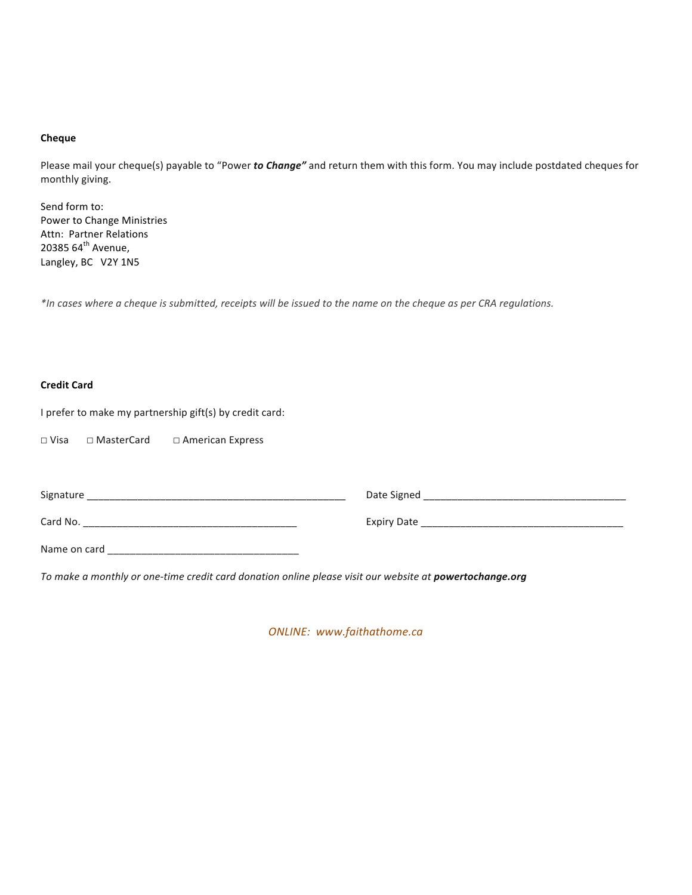## **Cheque**

Please mail your cheque(s) payable to "Power to Change" and return them with this form. You may include postdated cheques for monthly giving.

Send form to: Power to Change Ministries Attn: Partner Relations 20385  $64^{\text{th}}$  Avenue, Langley, BC V2Y 1N5

*\*In cases where a cheque is submitted, receipts will be issued to the name on the cheque as per CRA regulations.*

# **Credit Card**

I prefer to make my partnership gift(s) by credit card:

☐ Visa ☐ MasterCard ☐ American Express

| Signature    | Date Signed        |
|--------------|--------------------|
| Card No.     | <b>Expiry Date</b> |
| Name on card |                    |

To make a monthly or one-time credit card donation online please visit our website at **powertochange.org** 

*ONLINE: www.faithathome.ca*